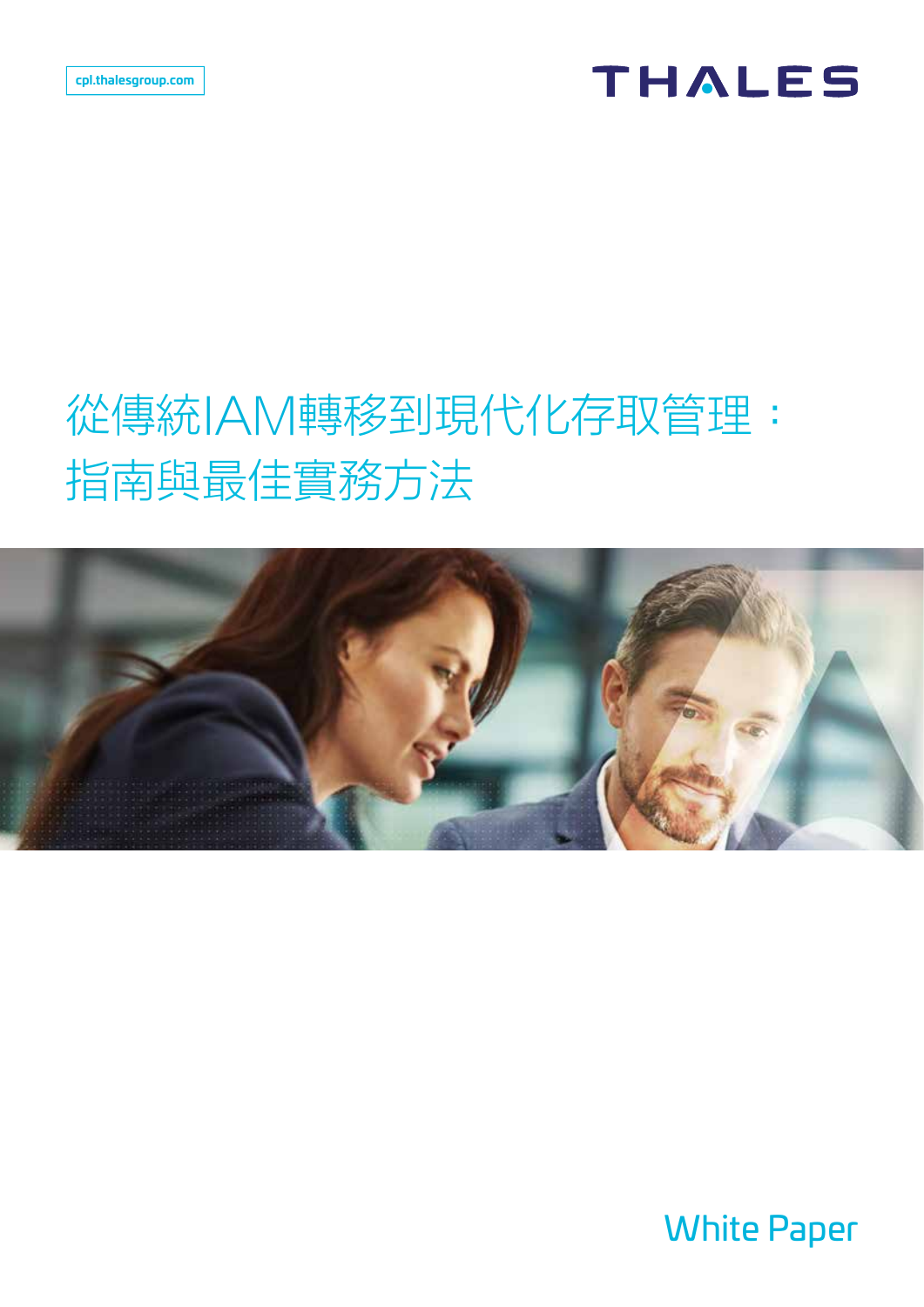# **THALES**

# 從傳統IAM轉移到現代化存取管理: 指南與最佳實務方法



White Paper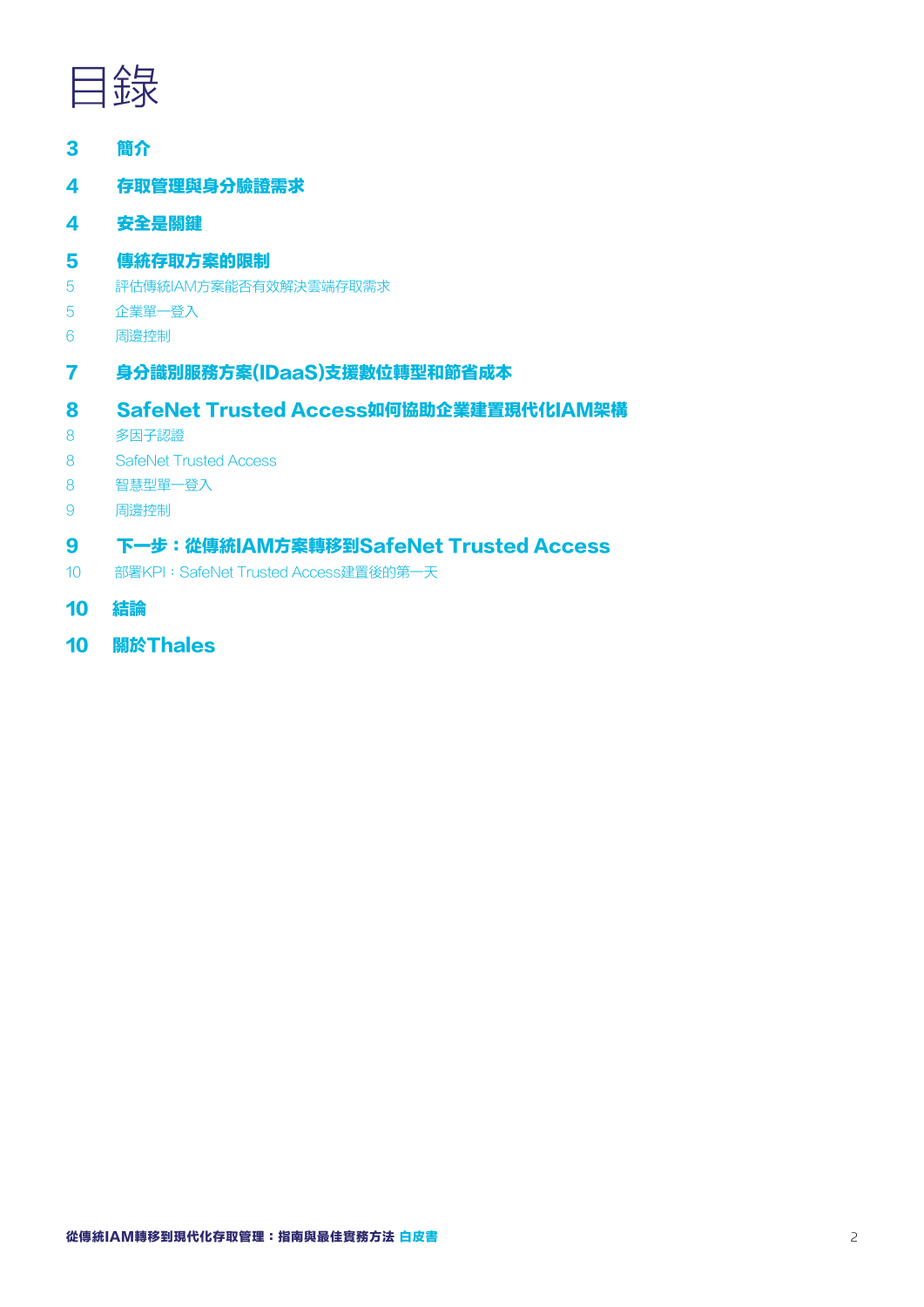目錄

- 3 簡介
- 4 存取管理與身分驗證需求
- 4 安全是關鍵
- 5 傳統存取方案的限制
- 5 評估傳統IAM方案能否有效解決雲端存取需求
- 5 企業單一登入
- 6 周邊控制
- 7 身分識別服務方案(IDaaS)支援數位轉型和節省成本
- 8 SafeNet Trusted Access如何協助企業建置現代化IAM架構
- 8 多因子認證
- 8 SafeNet Trusted Access
- 8 智慧型單一登入
- 9 周邊控制

### 9 下一步:從傳統IAM方案轉移到SafeNet Trusted Access

- 10 部署KPI:SafeNet Trusted Access建置後的第一天
- 10 結論
- 10 關於Thales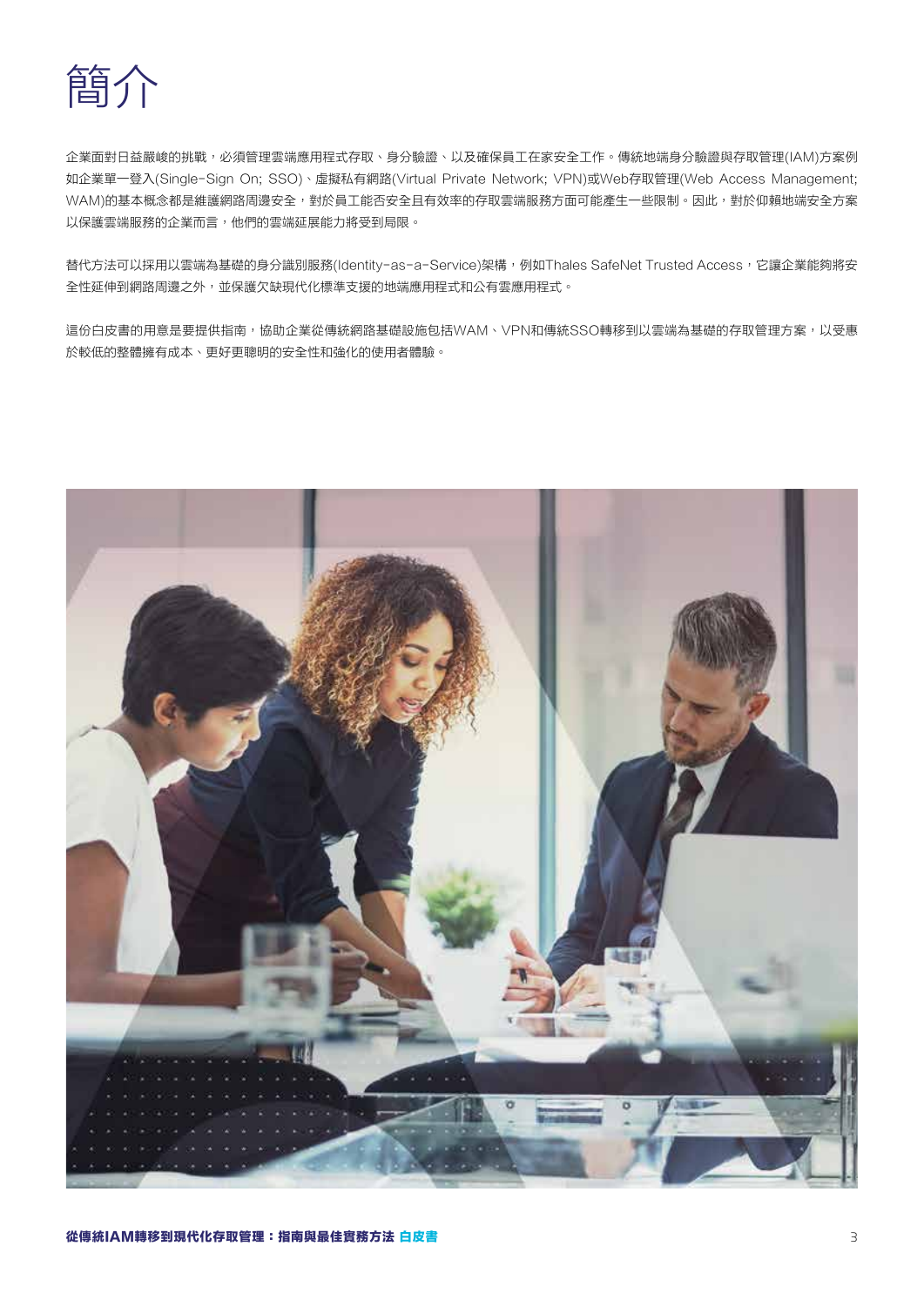

企業面對日益嚴峻的挑戰,必須管理雲端應用程式存取、身分驗證、以及確保員工在家安全工作。傳統地端身分驗證與存取管理(IAM)方案例 如企業單一登入(Single-Sign On; SSO)、虛擬私有網路(Virtual Private Network; VPN)或Web存取管理(Web Access Management; WAM)的基本概念都是維護網路周邊安全,對於員工能否安全且有效率的存取雲端服務方面可能產生一些限制。因此,對於仰賴地端安全方案 以保護雲端服務的企業而言,他們的雲端延展能力將受到局限。

替代方法可以採用以雲端為基礎的身分識別服務(Identity-as-a-Service)架構,例如Thales SafeNet Trusted Access,它讓企業能夠將安 全性延伸到網路周邊之外,並保護欠缺現代化標準支援的地端應用程式和公有雲應用程式。

這份白皮書的用意是要提供指南,協助企業從傳統網路基礎設施包括WAM、VPN和傳統SSO轉移到以雲端為基礎的存取管理方案,以受惠 於較低的整體擁有成本、更好更聰明的安全性和強化的使用者體驗。

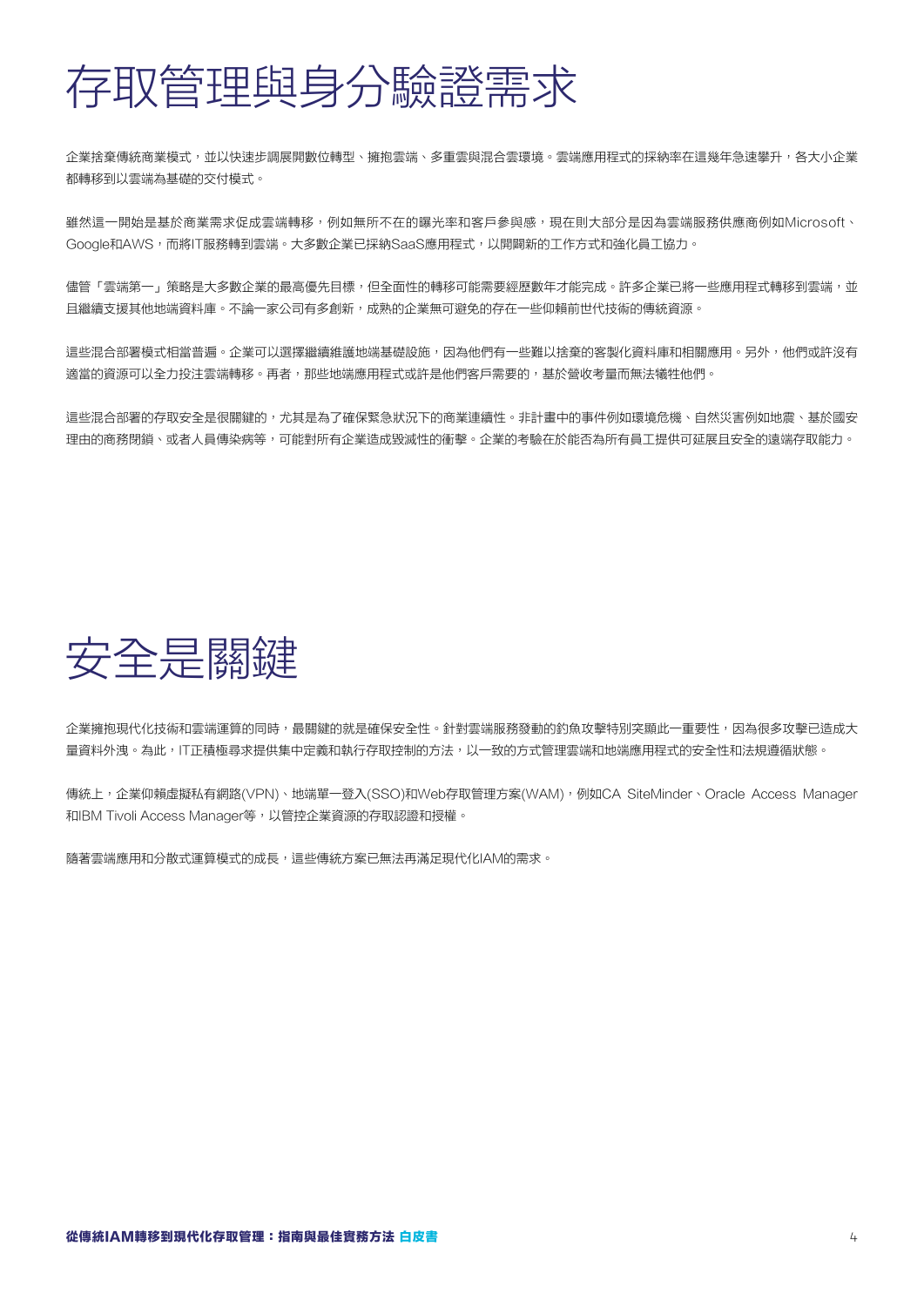# 存取管理與身分驗證需求

企業捨棄傳統商業模式,並以快速步調展開數位轉型、擁抱雲端、多重雲與混合雲環境。雲端應用程式的採納率在這幾年急速攀升,各大小企業 都轉移到以雲端為基礎的交付模式。

雖然這一開始是基於商業需求促成雲端轉移,例如無所不在的曝光率和客戶參與感,現在則大部分是因為雲端服務供應商例如Microsoft、 Google和AWS,而將IT服務轉到雲端。大多數企業已採納SaaS應用程式,以開闢新的工作方式和強化員工協力。

儘管「雲端第一」策略是大多數企業的最高優先目標,但全面性的轉移可能需要經歷數年才能完成。許多企業已將一些應用程式轉移到雲端,並 且繼續支援其他地端資料庫。不論一家公司有多創新,成熟的企業無可避免的存在一些仰賴前世代技術的傳統資源。

這些混合部署模式相當普遍。企業可以選擇繼續維護地端基礎設施,因為他們有一些難以捨棄的客製化資料庫和相關應用。另外,他們或許沒有 適當的資源可以全力投注雲端轉移。再者,那些地端應用程式或許是他們客戶需要的,基於營收考量而無法犧牲他們。

這些混合部署的存取安全是很關鍵的,尤其是為了確保緊急狀況下的商業連續性。非計畫中的事件例如環境危機、自然災害例如地震、基於國安 理由的商務閉鎖、或者人員傳染病等,可能對所有企業造成毀滅性的衝擊。企業的考驗在於能否為所有員工提供可延展且安全的遠端存取能力。

## 安全是關鍵

企業擁抱現代化技術和雲端運算的同時,最關鍵的就是確保安全性。針對雲端服務發動的釣鱼攻擊特別突顯化一重要性,因為很多攻擊已造成大 量資料外洩。為此,IT正積極尋求提供集中定義和執行存取控制的方法,以一致的方式管理雲端和地端應用程式的安全性和法規遵循狀態。

傳統上,企業仰賴虛擬私有網路(VPN)、地端單一登入(SSO)和Web存取管理方案(WAM),例如CA SiteMinder、Oracle Access Manager 和IBM Tivoli Access Manager等,以管控企業資源的存取認證和授權。

隨著雲端應用和分散式運算模式的成長,這些傳統方案已無法再滿足現代化IAM的需求。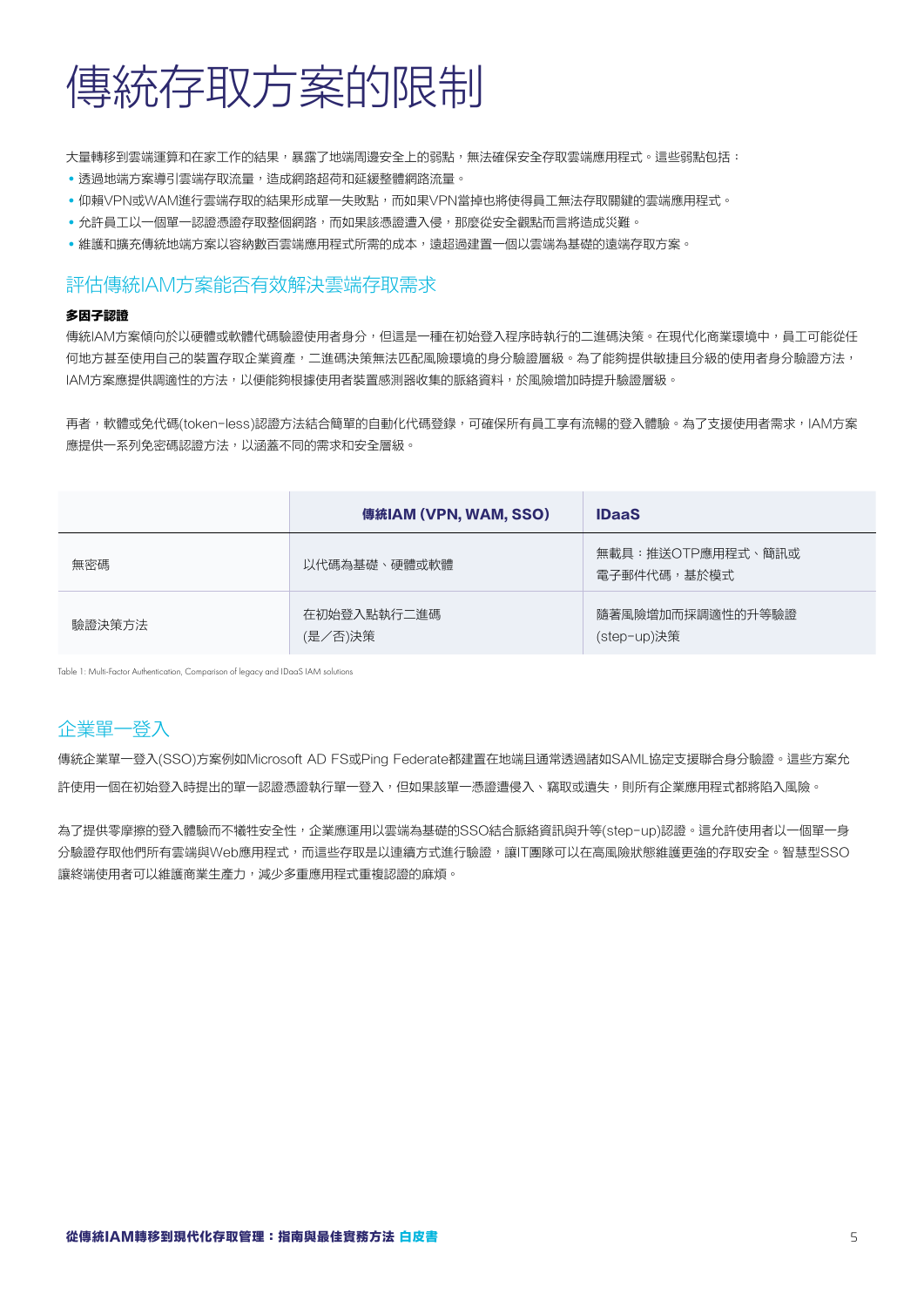

大量轉移到雲端運算和在家工作的結果,暴露了地端周邊安全上的弱點,無法確保安全存取雲端應用程式。這些弱點包括:

- 诱渦地端方案導引雲端存取流量,诰成網路超荷和延緩整體網路流量。
- 仰賴VPN或WAM進行雲端存取的結果形成單一失敗點,而如果VPN當掉也將使得員工無法存取關鍵的雲端應用程式。
- 允許員工以一個單一認證憑證存取整個網路,而如果該憑證遭入侵,那麼從安全觀點而言將造成災難。
- 維護和擴充傳統地端方案以容納數百雲端應用程式所需的成本,遠超過建置一個以雲端為基礎的遠端存取方案。

### 評估傳統IAM方案能否有效解決雲端存取需求

#### 多因子認證

傳統IAM方案傾向於以硬體或軟體代碼驗證使用者身分,但這是一種在初始登入程序時執行的二進碼決策。在現代化商業環境中,員工可能從任 何地方甚至使用自己的裝置存取企業資產,二進碼決策無法匹配風險環境的身分驗證層級。為了能夠提供敏捷且分級的使用者身分驗證方法, IAM方案應提供調適性的方法,以便能夠根據使用者裝置感測器收集的脈絡資料,於風險增加時提升驗證層級。

再者,軟體或免代碼(token-less)認證方法結合簡單的自動化代碼登錄,可確保所有員工享有流暢的登入體驗。為了支援使用者需求,IAM方案 應提供一系列免密碼認證方法,以涵蓋不同的需求和安全層級。

|        | 傳統IAM (VPN, WAM, SSO)  | <b>IDaaS</b>                     |
|--------|------------------------|----------------------------------|
| 無密碼    | 以代碼為基礎、硬體或軟體           | 無載具:推送OTP應用程式、簡訊或<br>電子郵件代碼,基於模式 |
| 驗證決策方法 | 在初始登入點執行二進碼<br>(是/否)決策 | 隨著風險增加而採調適性的升等驗證<br>(step-up)決策  |

Table 1: Multi-Factor Authentication, Comparison of legacy and IDaaS IAM solutions

### 企業單一登入

傳統企業單一登入(SSO)方案例如Microsoft AD FS或Ping Federate都建置在地端且通常透過諸如SAML協定支援聯合身分驗證。這些方案允 許使用一個在初始登入時提出的單一記證憑證執行單一登入,但如果該單一憑證遭侵入、竊取或遺失,則所有企業應用程式都將陷入風險。

為了提供零摩擦的登入體驗而不犧牲安全性,企業應運用以雲端為基礎的SSO結合脈絡資訊與升等(step-up)認證。這允許使用者以一個單一身 分驗證存取他們所有雲端與Web應用程式,而這些存取是以連續方式進行驗證,讓IT團隊可以在高風險狀態維護更強的存取安全。智慧型SSO 讓終端使用者可以維護商業生產力,減少多重應用程式重複認證的麻煩。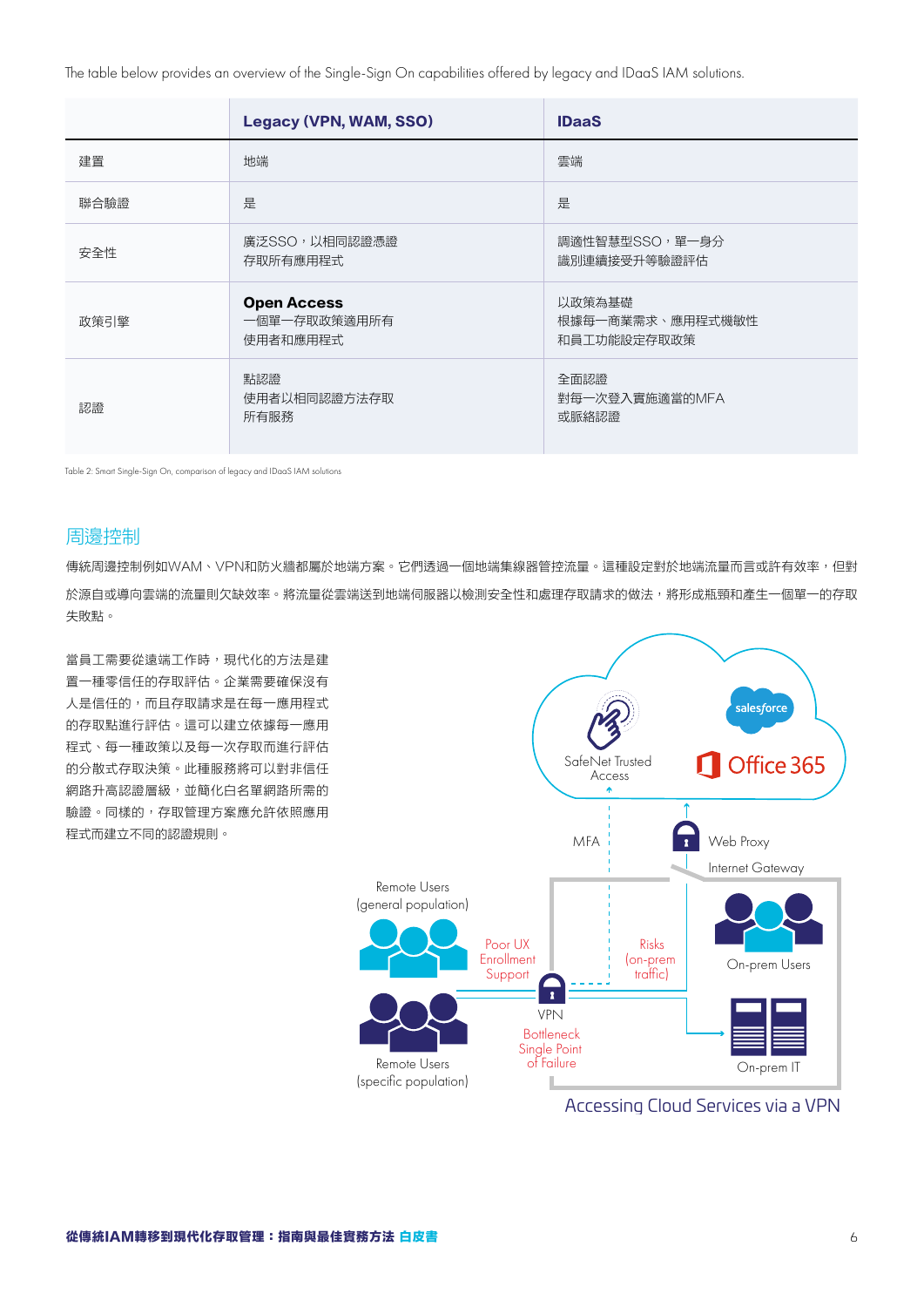The table below provides an overview of the Single-Sign On capabilities offered by legacy and IDaaS IAM solutions.

|      | Legacy (VPN, WAM, SSO)                         | <b>IDaaS</b>                              |
|------|------------------------------------------------|-------------------------------------------|
| 建置   | 地端                                             | 雲端                                        |
| 聯合驗證 | 是                                              | 是                                         |
| 安全性  | 廣泛SSO,以相同認證憑證<br>存取所有應用程式                      | 調適性智慧型SSO,單一身分<br>識別連續接受升等驗證評估            |
| 政策引擎 | <b>Open Access</b><br>一個單一存取政策適用所有<br>使用者和應用程式 | 以政策為基礎<br>根據每一商業需求、應用程式機敏性<br>和員工功能設定存取政策 |
| 認證   | 點認證<br>使用者以相同認證方法存取<br>所有服務                    | 全面認證<br>對每一次登入實施適當的MFA<br>或脈絡認證           |

Table 2: Smart Single-Sign On, comparison of legacy and IDaaS IAM solutions

### 周邊控制

傳統周邊控制例如WAM、VPN和防火牆都屬於地端方案。它們透過一個地端集線器管控流量。這種設定對於地端流量而言或許有效率,但對 於源自或導向雲端的流量則欠缺效率。將流量從雲端送到地端伺服器以檢測安全性和處理存取請求的做法,將形成瓶頸和產生一個單一的存取 失敗點。

當員工需要從遠端工作時,現代化的方法是建 置一種零信任的存取評估。企業需要確保沒有 人是信任的,而且存取請求是在每一應用程式 的存取點進行評估。這可以建立依據每一應用 程式、每一種政策以及每一次存取而進行評估 的分散式存取決策。此種服務將可以對非信任 網路升高認證層級,並簡化白名單網路所需的 驗證。同樣的,存取管理方案應允許依照應用 程式而建立不同的認證規則。



Accessing Cloud Services via a VPN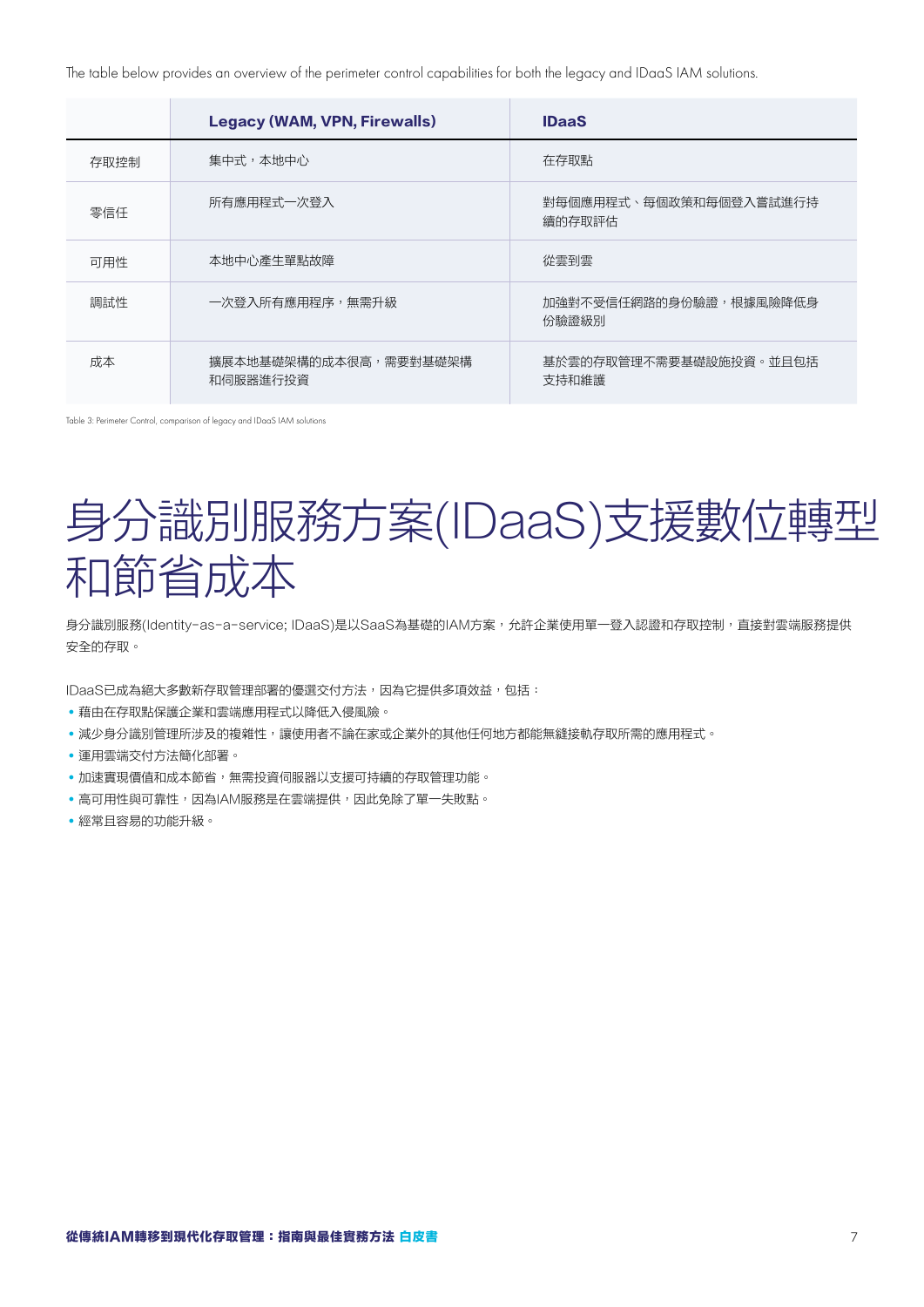The table below provides an overview of the perimeter control capabilities for both the legacy and IDaaS IAM solutions.

|      | <b>Legacy (WAM, VPN, Firewalls)</b> | <b>IDaaS</b>                     |
|------|-------------------------------------|----------------------------------|
| 存取控制 | 集中式,本地中心                            | 在存取點                             |
| 零信仟  | 所有應用程式一次登入                          | 對每個應用程式、每個政策和每個登入嘗試進行持<br>續的存取評估 |
| 可用性  | 本地中心產生單點故障                          | 從雲到雲                             |
| 調試性  | 一次登入所有應用程序,無需升級                     | 加強對不受信任網路的身份驗證,根據風險降低身<br>份驗證級別  |
| 成本   | 擴展本地基礎架構的成本很高,需要對基礎架構<br>和伺服器進行投資   | 基於雲的存取管理不需要基礎設施投資。並且包括<br>支持和維護  |

Table 3: Perimeter Control, comparison of legacy and IDaaS IAM solutions

# 身分識別服務方案(IDaaS)支援數位轉型 和節省成本

身分識別服務(Identity-as-a-service; IDaaS)是以SaaS為基礎的IAM方案,允許企業使用單一登入認證和存取控制,直接對雲端服務提供 安全的存取。

IDaaS已成為絕大多數新存取管理部署的優選交付方法,因為它提供多項效益,包括:

- 藉由在存取點保護企業和雲端應用程式以降低入侵風險。
- 減少身分識別管理所涉及的複雜性, 讓使用者不論在家或企業外的其他任何地方都能無縫接軌存取所需的應用程式。
- 運用雲端交付方法簡化部署。
- 加速實現價值和成本節省,無需投資伺服器以支援可持續的存取管理功能。
- •高可用性與可靠性,因為IAM服務是在雲端提供,因此免除了單一失敗點。
- 經常且容易的功能升級。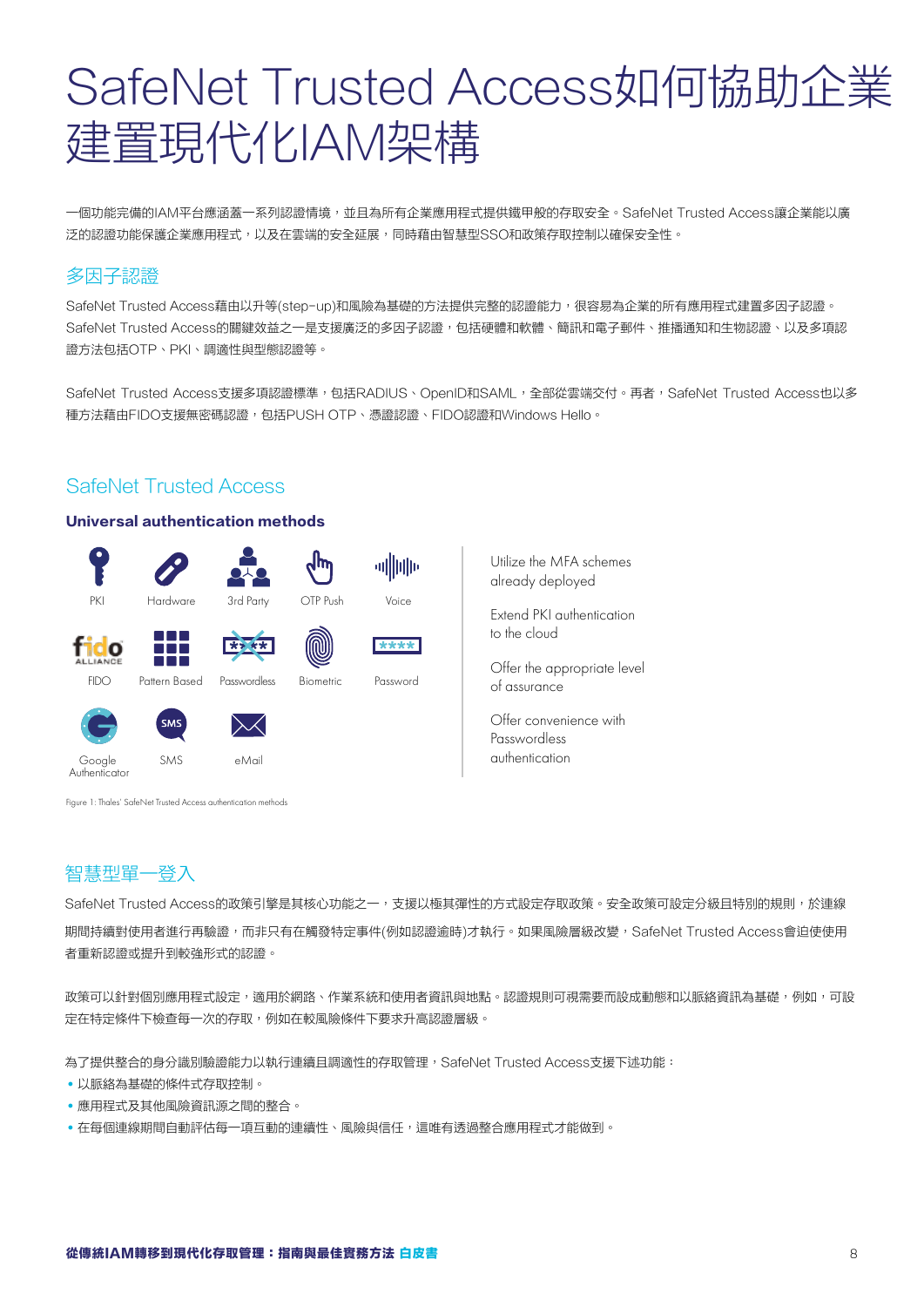### 建置現代化IAM架構 tod I SafeNet Trusted Access如何協助企業

一個功能完備的IAM平台應涵蓋一系列認證情境,並且為所有企業應用程式提供鐵甲般的存取安全。SafeNet Trusted Access讓企業能以廣 泛的認證功能保護企業應用程式,以及在雲端的安全延展,同時藉由智慧型SSO和政策存取控制以確保安全性。

### 多因子認證

。<br>Coter in HER哈为其琳的大计担供它教的切惑的书,但容目为 step-up SafeNet Trusted Access藉由以升等(step-up)和風險為基礎的方法提供完整的認證能力,很容易為企業的所有應用程式建置多因子認證。 SafeNet Trusted Access的關鍵效益之一是支援廣泛的多因子認證,包括硬體和軟體、簡訊和電子郵件、推播通知和生物認證、以及多項認 證方法包括OTP、PKI、調適性與型態認證等。

ACCCSS文及タ央応度は平・BJENADIOO・OpenID性OAML・王印に云圳スけ<br>-<br>- 標価家理訊致:石拝DLICLIATD、運送訊致:FIDA訊致和Mindeurallalla Single Point of Failure SafeNet Trusted Access支援多項認證標準,包括RADIUS、OpenID和SAML,全部從雲端交付。再者,SafeNet Trusted Access也以多 種方法藉由FIDO支援無密碼認證,包括PUSH OTP、憑證認證、FIDO認證和Windows Hello。<br>-

> Utilize the MFA schemes already deployed

Extend PKI authentication

Offer the appropriate level

Offer convenience with

to the cloud

of assurance

Passwordless authentication

### SafeNet Trusted Access

#### Universal authentication methods



Figure 1: Thales' SafeNet Trusted Access authentication methods

智慧型單一登入

SafeNet Trusted Access的政策引擎是其核心功能之一,支援以極其彈性的方式設定存取政策。安全政策可設定分級目特別的規則,於連線 期間持續對使用者進行再驗證,而非只有在觸發特定事件(例如認證逾時)才執行。如果風險層級改變,SafeNet Trusted Access會迫使使用 者重新認證或提升到較強形式的認證。

政策可以針對個別應用程式設定,適用於網路、作業系統和使用者資訊與地點。認證規則可視需要而設成動態和以脈絡資訊為基礎,例如,可設 定在特定條件下檢查每一次的存取,例如在較風險條件下要求升高認證層級。

為了提供整合的身分識別驗證能力以執行連續且調適性的存取管理,SafeNet Trusted Access支援下述功能:

- 以脈絡為基礎的條件式存取控制。
- 應用程式及其他風險資訊源之間的整合。
- 在每個連線期間自動評估每一項互動的連續性、風險與信任,這唯有透過整合應用程式才能做到。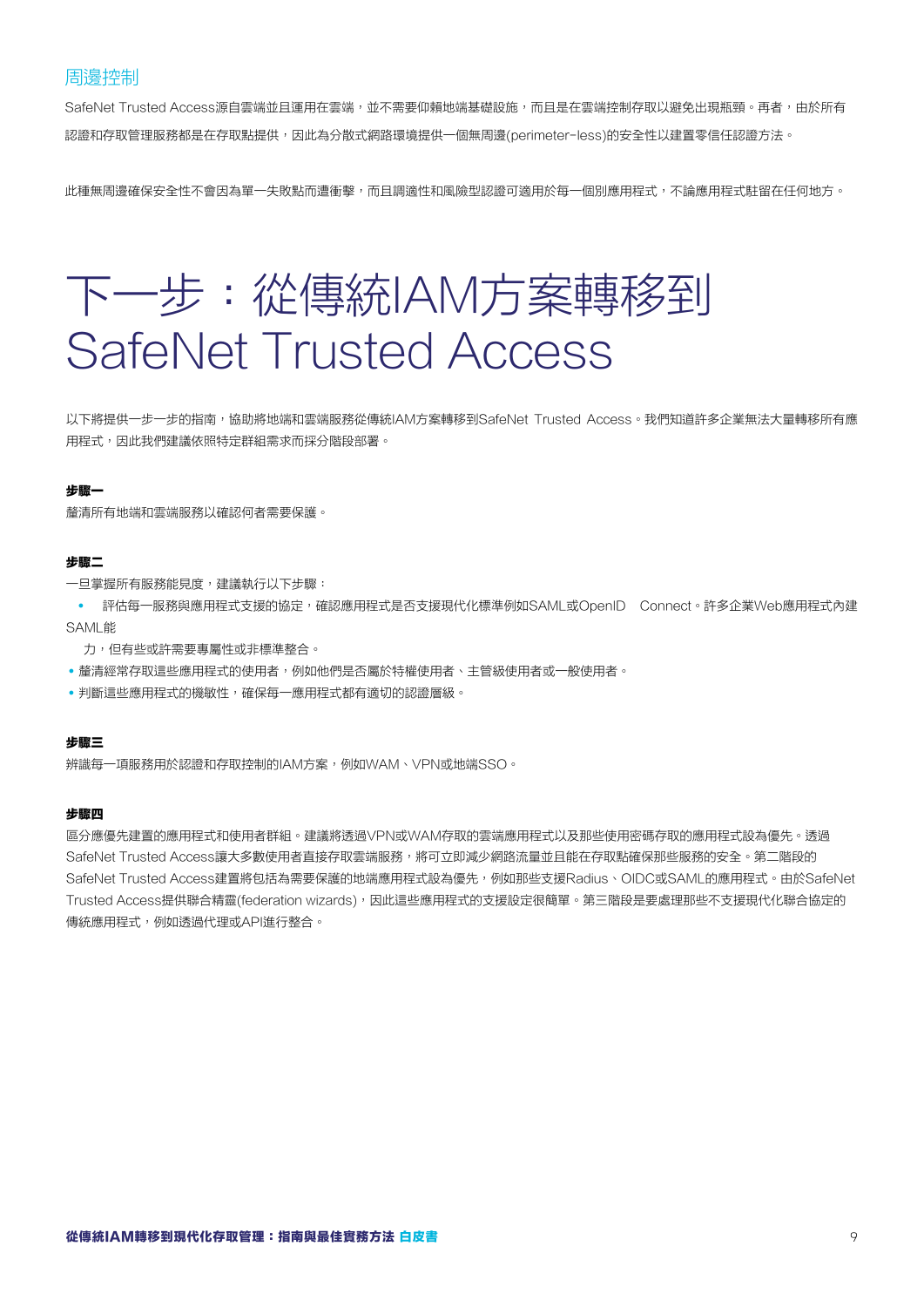#### 周邊控制

SafeNet Trusted Access源自雲端並且運用在雲端,並不需要仰賴地端基礎設施,而且是在雲端控制存取以避免出現瓶頸。再者,由於所有 認證和存取管理服務都是在存取點提供,因此為分散式網路環境提供一個無周邊(perimeter-less)的安全性以建置零信任認證方法。

此種無周邊確保安全性不會因為單一失敗點而遭衝擊,而且調適性和風險型認證可適用於每一個別應用程式,不論應用程式駐留在任何地方。

# 下一步:從傳統IAM方案轉移到 SafeNet Trusted Access

以下將提供一步一步的指南,協助將地端和雲端服務從傳統IAM方案轉移到SafeNet Trusted Access。我們知道許多企業無法大量轉移所有應 用程式,因此我們建議依照特定群組需求而採分階段部署。

#### 步驟一

釐清所有地端和雲端服務以確認何者需要保護。

#### 步驟二

一旦掌握所有服務能見度,建議執行以下步驟:

 ● 評估每一服務與應用程式支援的協定,確認應用程式是否支援現代化標準例如SAML或OpenID Connect。許多企業Web應用程式內建 SAML能

力,但有些或許需要專屬性或非標準整合。

•釐清經常存取這些應用程式的使用者,例如他們是否屬於特權使用者、主管級使用者或一般使用者。

• 判斷這些應用程式的機敏性,確保每一應用程式都有適切的認證層級。

#### 步驟三

辨識每一項服務用於認證和存取控制的IAM方案,例如WAM、VPN或地端SSO。

#### 步驟四

區分應優先建置的應用程式和使用者群組。建議將透過VPN或WAM存取的雲端應用程式以及那些使用密碼存取的應用程式設為優先。透過 SafeNet Trusted Access讓大多數使用者直接存取雲端服務,將可立即減少網路流量並且能在存取點確保那些服務的安全。第二階段的 SafeNet Trusted Access建置將包括為需要保護的地端應用程式設為優先,例如那些支援Radius、OIDC或SAML的應用程式。由於SafeNet Trusted Access提供聯合精靈(federation wizards),因此這些應用程式的支援設定很簡單。第三階段是要處理那些不支援現代化聯合協定的 傳統應用程式,例如透過代理或API進行整合。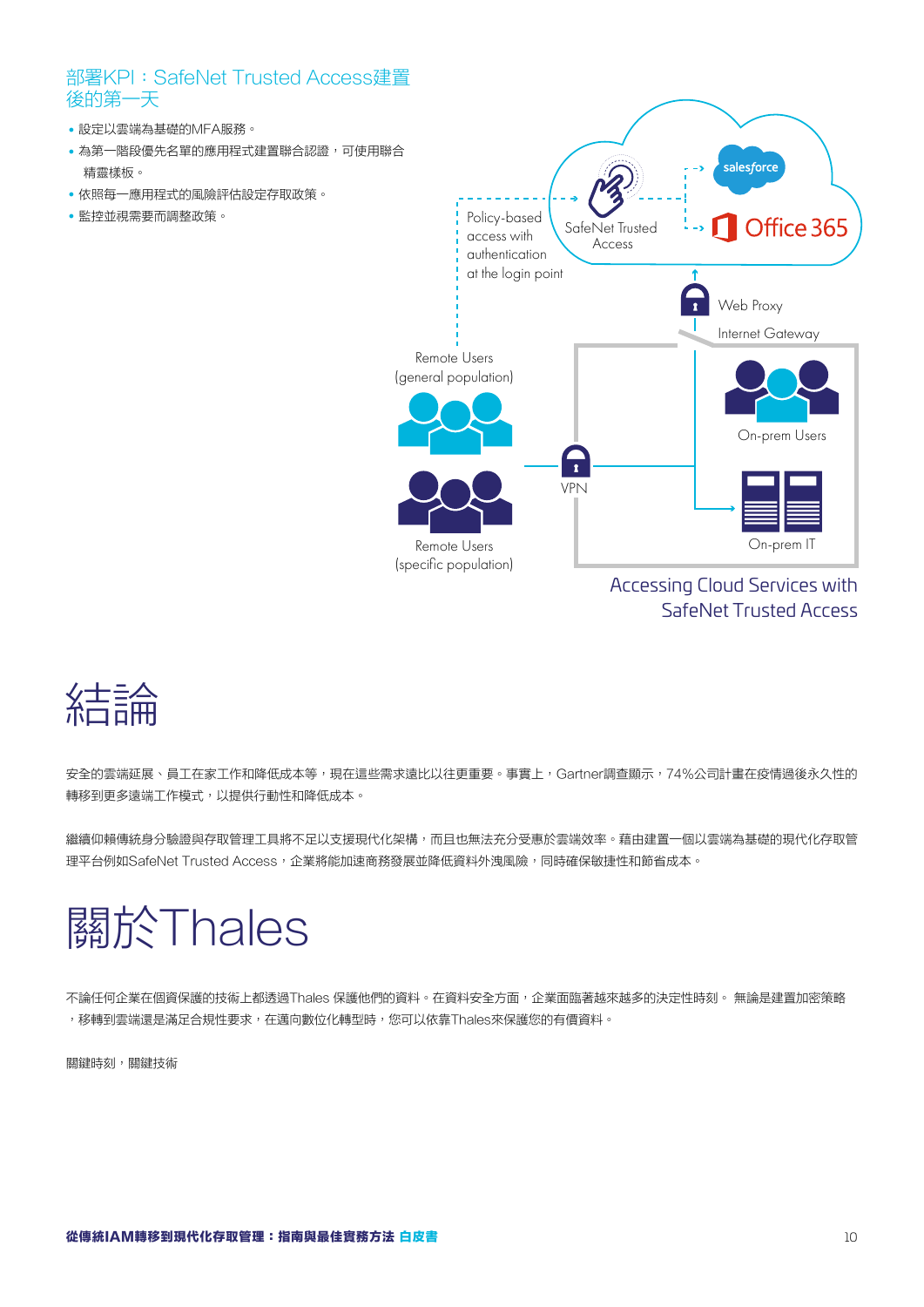### 部署KPI:SafeNet Trusted Access建置 後的第一天

- 設定以雲端為基礎的MFA服務。
- 為第一階段優先名單的應用程式建置聯合認證,可使用聯合 精靈樣板。
- 依照每一應用程式的風險評估設定存取政策。
- 監控並視需要而調整政策。



Accessing Cloud Services with SafeNet Trusted Access



安全的雲端延展、員工在家工作和降低成本等,現在這些需求遠比以往更重要。事實上,Gartner調查顯示,74%公司計畫在疫情過後永久性的 轉移到更多遠端工作模式,以提供行動性和降低成本。

繼續仰賴傳統身分驗證與存取管理工具將不足以支援現代化架構,而且也無法充分受惠於雲端效率。藉由建置一個以雲端為基礎的現代化存取管 理平台例如SafeNet Trusted Access,企業將能加速商務發展並降低資料外洩風險,同時確保敏捷性和節省成本。

# 關於Thales

不論任何企業在個資保護的技術上都透過Thales 保護他們的資料。在資料安全方面,企業面臨著越來越多的決定性時刻。 無論是建置加密策略 ,移轉到雲端還是滿足合規性要求,在邁向數位化轉型時,您可以依靠Thales來保護您的有價資料。

關鍵時刻,關鍵技術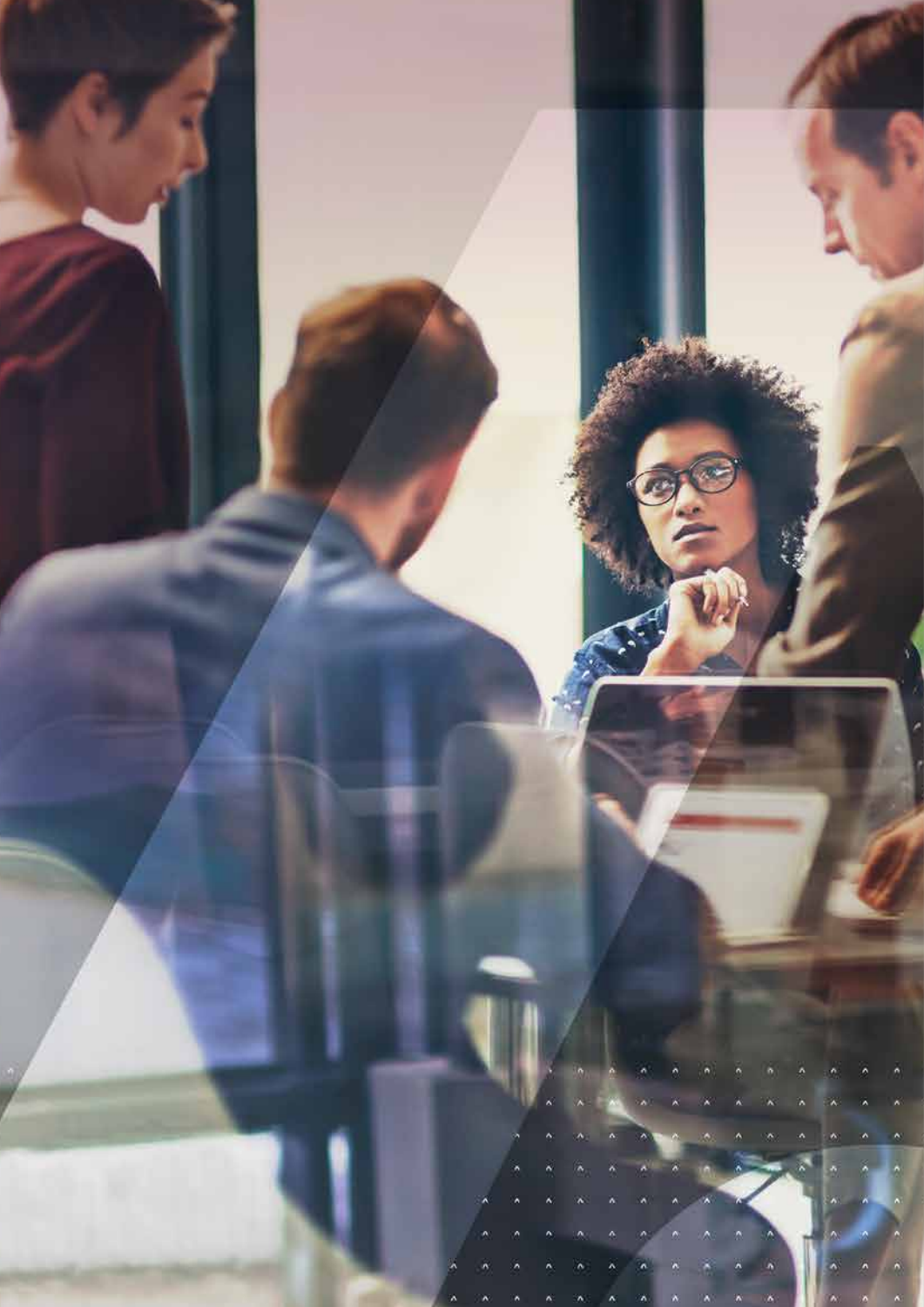